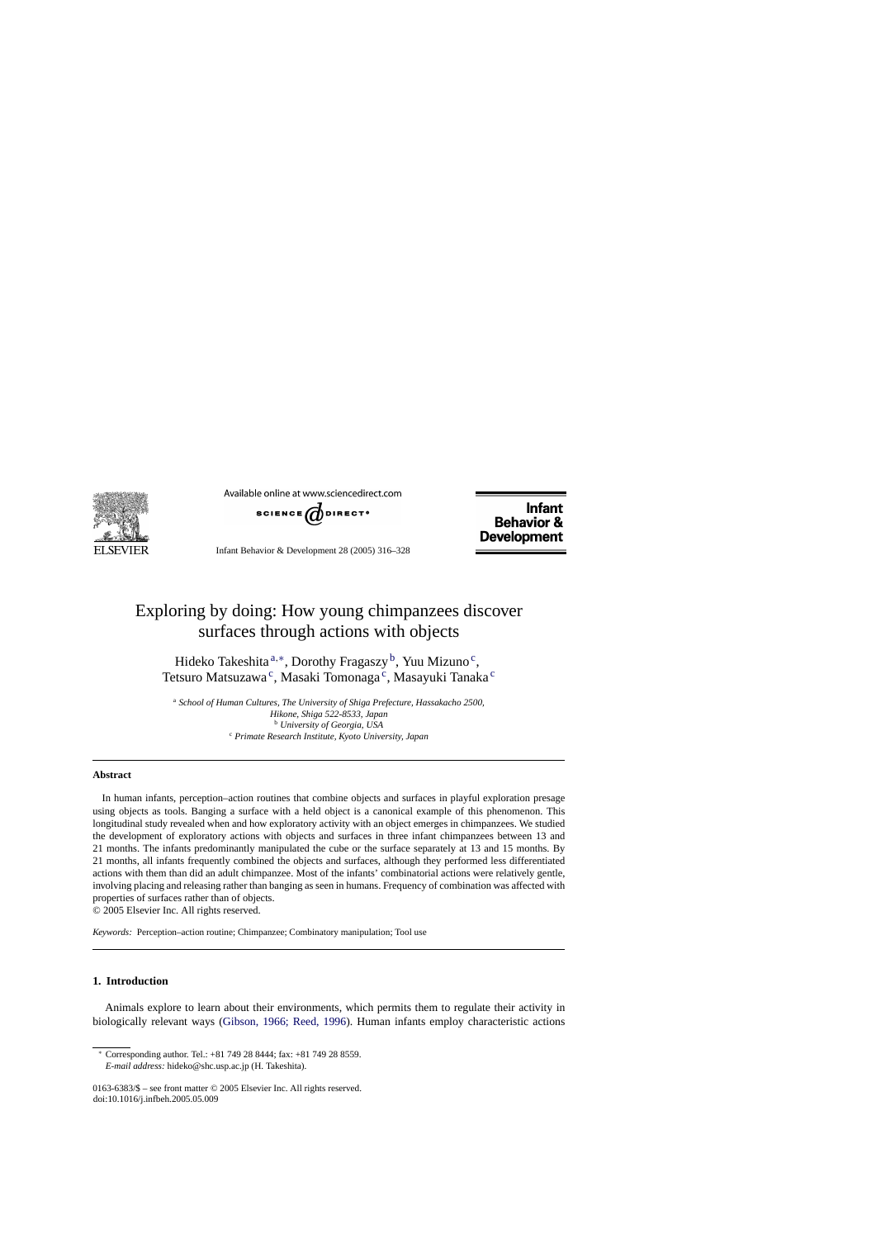

Available online at www.sciencedirect.com



Infant Behavior & Development 28 (2005) 316–328

**Infant Behavior & Development** 

# Exploring by doing: How young chimpanzees discover surfaces through actions with objects

Hideko Takeshita  $a^*$ , Dorothy Fragaszy<sup>b</sup>, Yuu Mizuno<sup>c</sup>, Tetsuro Matsuzawa<sup>c</sup>, Masaki Tomonaga<sup>c</sup>, Masayuki Tanaka<sup>c</sup>

<sup>a</sup> *School of Human Cultures, The University of Shiga Prefecture, Hassakacho 2500, Hikone, Shiga 522-8533, Japan* <sup>b</sup> *University of Georgia, USA* <sup>c</sup> *Primate Research Institute, Kyoto University, Japan*

## **Abstract**

In human infants, perception–action routines that combine objects and surfaces in playful exploration presage using objects as tools. Banging a surface with a held object is a canonical example of this phenomenon. This longitudinal study revealed when and how exploratory activity with an object emerges in chimpanzees. We studied the development of exploratory actions with objects and surfaces in three infant chimpanzees between 13 and 21 months. The infants predominantly manipulated the cube or the surface separately at 13 and 15 months. By 21 months, all infants frequently combined the objects and surfaces, although they performed less differentiated actions with them than did an adult chimpanzee. Most of the infants' combinatorial actions were relatively gentle, involving placing and releasing rather than banging as seen in humans. Frequency of combination was affected with properties of surfaces rather than of objects.

© 2005 Elsevier Inc. All rights reserved.

*Keywords:* Perception–action routine; Chimpanzee; Combinatory manipulation; Tool use

# **1. Introduction**

Animals explore to learn about their environments, which permits them to regulate their activity in biologically relevant ways [\(Gibson, 1966; Reed, 1996\)](#page-11-0). Human infants employ characteristic actions

<sup>∗</sup> Corresponding author. Tel.: +81 749 28 8444; fax: +81 749 28 8559. *E-mail address:* hideko@shc.usp.ac.jp (H. Takeshita).

<sup>0163-6383/\$ –</sup> see front matter © 2005 Elsevier Inc. All rights reserved. doi:10.1016/j.infbeh.2005.05.009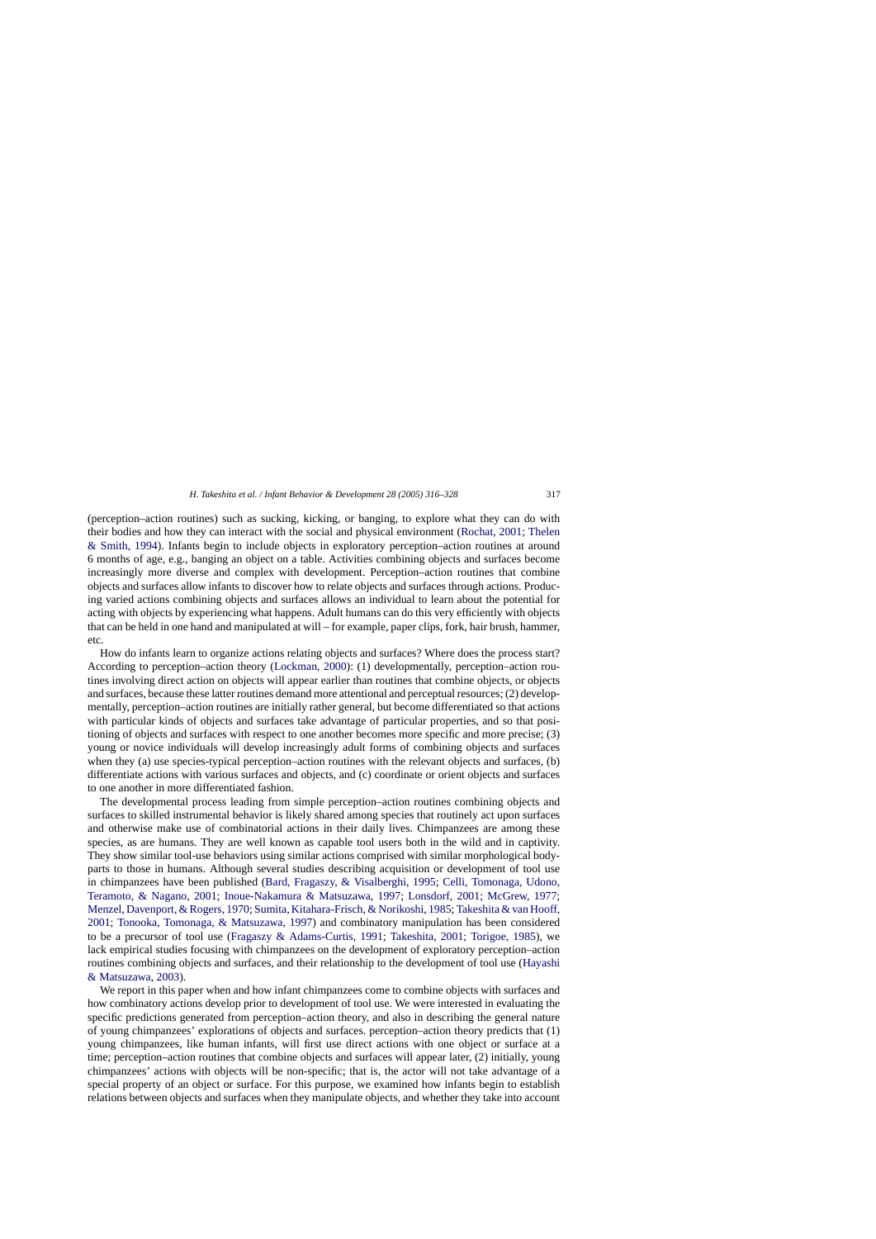(perception–action routines) such as sucking, kicking, or banging, to explore what they can do with their bodies and how they can interact with the social and physical environment [\(Rochat, 2001;](#page-12-0) [Thelen](#page-12-0) [& Smith, 1994\)](#page-12-0). Infants begin to include objects in exploratory perception–action routines at around 6 months of age, e.g., banging an object on a table. Activities combining objects and surfaces become increasingly more diverse and complex with development. Perception–action routines that combine objects and surfaces allow infants to discover how to relate objects and surfaces through actions. Producing varied actions combining objects and surfaces allows an individual to learn about the potential for acting with objects by experiencing what happens. Adult humans can do this very efficiently with objects that can be held in one hand and manipulated at will – for example, paper clips, fork, hair brush, hammer, etc.

How do infants learn to organize actions relating objects and surfaces? Where does the process start? According to perception–action theory ([Lockman, 2000\):](#page-11-0) (1) developmentally, perception–action routines involving direct action on objects will appear earlier than routines that combine objects, or objects and surfaces, because these latter routines demand more attentional and perceptual resources; (2) developmentally, perception–action routines are initially rather general, but become differentiated so that actions with particular kinds of objects and surfaces take advantage of particular properties, and so that positioning of objects and surfaces with respect to one another becomes more specific and more precise; (3) young or novice individuals will develop increasingly adult forms of combining objects and surfaces when they (a) use species-typical perception–action routines with the relevant objects and surfaces, (b) differentiate actions with various surfaces and objects, and (c) coordinate or orient objects and surfaces to one another in more differentiated fashion.

The developmental process leading from simple perception–action routines combining objects and surfaces to skilled instrumental behavior is likely shared among species that routinely act upon surfaces and otherwise make use of combinatorial actions in their daily lives. Chimpanzees are among these species, as are humans. They are well known as capable tool users both in the wild and in captivity. They show similar tool-use behaviors using similar actions comprised with similar morphological bodyparts to those in humans. Although several studies describing acquisition or development of tool use in chimpanzees have been published [\(Bard, Fragaszy, & Visalberghi, 1995;](#page-11-0) [Celli, Tomonaga, Udono,](#page-11-0) [Teramoto, & Nagano, 2001;](#page-11-0) [Inoue-Nakamura & Matsuzawa, 1997;](#page-11-0) [Lonsdorf, 2001; McGrew, 1977;](#page-11-0) [Menzel, Davenport, & Rogers, 1970;](#page-11-0) [Sumita, Kitahara-Frisch, & Norikoshi, 1985;](#page-12-0) [Takeshita & van Hooff,](#page-12-0) [2001;](#page-12-0) [Tonooka, Tomonaga, & Matsuzawa, 1997\)](#page-12-0) and combinatory manipulation has been considered to be a precursor of tool use [\(Fragaszy & Adams-Curtis, 1991;](#page-11-0) [Takeshita, 2001; Torigoe, 1985\)](#page-12-0), we lack empirical studies focusing with chimpanzees on the development of exploratory perception–action routines combining objects and surfaces, and their relationship to the development of tool use ([Hayashi](#page-11-0) [& Matsuzawa, 2003\).](#page-11-0)

We report in this paper when and how infant chimpanzees come to combine objects with surfaces and how combinatory actions develop prior to development of tool use. We were interested in evaluating the specific predictions generated from perception–action theory, and also in describing the general nature of young chimpanzees' explorations of objects and surfaces. perception–action theory predicts that (1) young chimpanzees, like human infants, will first use direct actions with one object or surface at a time; perception–action routines that combine objects and surfaces will appear later, (2) initially, young chimpanzees' actions with objects will be non-specific; that is, the actor will not take advantage of a special property of an object or surface. For this purpose, we examined how infants begin to establish relations between objects and surfaces when they manipulate objects, and whether they take into account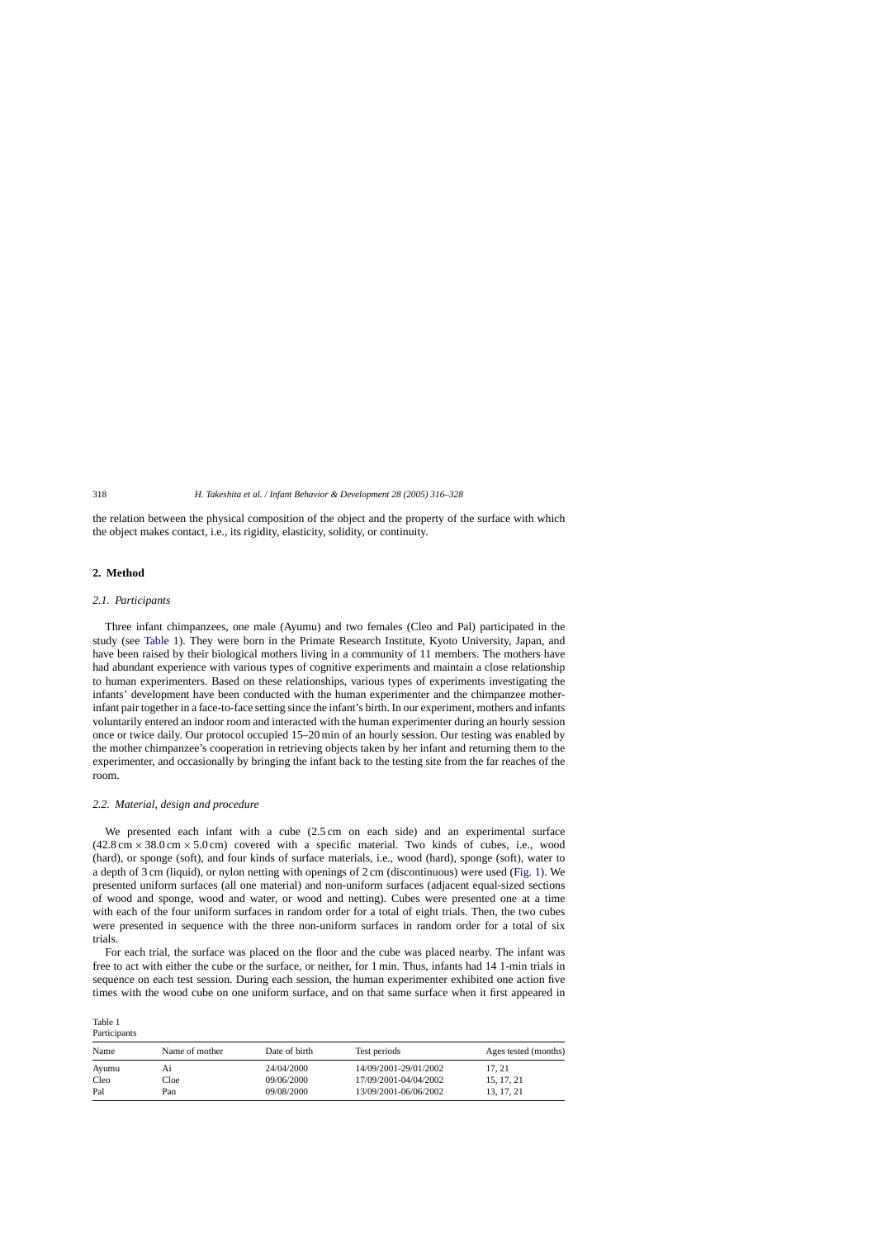the relation between the physical composition of the object and the property of the surface with which the object makes contact, i.e., its rigidity, elasticity, solidity, or continuity.

# **2. Method**

Table 1

# *2.1. Participants*

Three infant chimpanzees, one male (Ayumu) and two females (Cleo and Pal) participated in the study (see Table 1). They were born in the Primate Research Institute, Kyoto University, Japan, and have been raised by their biological mothers living in a community of 11 members. The mothers have had abundant experience with various types of cognitive experiments and maintain a close relationship to human experimenters. Based on these relationships, various types of experiments investigating the infants' development have been conducted with the human experimenter and the chimpanzee motherinfant pair together in a face-to-face setting since the infant's birth. In our experiment, mothers and infants voluntarily entered an indoor room and interacted with the human experimenter during an hourly session once or twice daily. Our protocol occupied 15–20 min of an hourly session. Our testing was enabled by the mother chimpanzee's cooperation in retrieving objects taken by her infant and returning them to the experimenter, and occasionally by bringing the infant back to the testing site from the far reaches of the room.

#### *2.2. Material, design and procedure*

We presented each infant with a cube (2.5 cm on each side) and an experimental surface  $(42.8 \text{ cm} \times 38.0 \text{ cm} \times 5.0 \text{ cm})$  covered with a specific material. Two kinds of cubes, i.e., wood (hard), or sponge (soft), and four kinds of surface materials, i.e., wood (hard), sponge (soft), water to a depth of 3 cm (liquid), or nylon netting with openings of 2 cm (discontinuous) were used [\(Fig. 1\).](#page-3-0) We presented uniform surfaces (all one material) and non-uniform surfaces (adjacent equal-sized sections of wood and sponge, wood and water, or wood and netting). Cubes were presented one at a time with each of the four uniform surfaces in random order for a total of eight trials. Then, the two cubes were presented in sequence with the three non-uniform surfaces in random order for a total of six trials.

For each trial, the surface was placed on the floor and the cube was placed nearby. The infant was free to act with either the cube or the surface, or neither, for 1 min. Thus, infants had 14 1-min trials in sequence on each test session. During each session, the human experimenter exhibited one action five times with the wood cube on one uniform surface, and on that same surface when it first appeared in

| Participants |                |               |                       |                      |
|--------------|----------------|---------------|-----------------------|----------------------|
| Name         | Name of mother | Date of birth | Test periods          | Ages tested (months) |
| Ayumu        | A1             | 24/04/2000    | 14/09/2001-29/01/2002 | 17, 21               |
| Cleo         | Cloe           | 09/06/2000    | 17/09/2001-04/04/2002 | 15, 17, 21           |
| Pal          | Pan            | 09/08/2000    | 13/09/2001-06/06/2002 | 13, 17, 21           |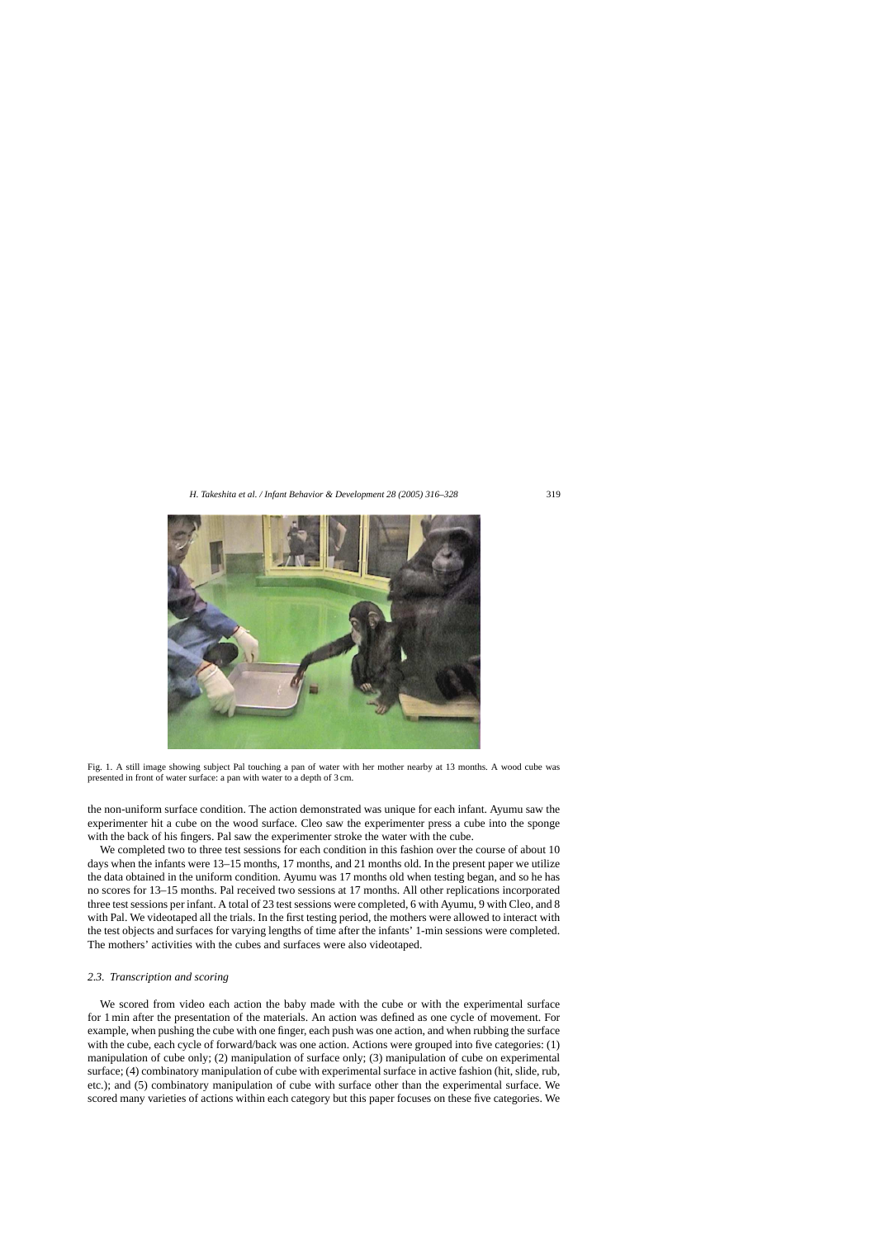<span id="page-3-0"></span>

Fig. 1. A still image showing subject Pal touching a pan of water with her mother nearby at 13 months. A wood cube was presented in front of water surface: a pan with water to a depth of 3 cm.

the non-uniform surface condition. The action demonstrated was unique for each infant. Ayumu saw the experimenter hit a cube on the wood surface. Cleo saw the experimenter press a cube into the sponge with the back of his fingers. Pal saw the experimenter stroke the water with the cube.

We completed two to three test sessions for each condition in this fashion over the course of about 10 days when the infants were 13–15 months, 17 months, and 21 months old. In the present paper we utilize the data obtained in the uniform condition. Ayumu was 17 months old when testing began, and so he has no scores for 13–15 months. Pal received two sessions at 17 months. All other replications incorporated three test sessions per infant. A total of 23 test sessions were completed, 6 with Ayumu, 9 with Cleo, and 8 with Pal. We videotaped all the trials. In the first testing period, the mothers were allowed to interact with the test objects and surfaces for varying lengths of time after the infants' 1-min sessions were completed. The mothers' activities with the cubes and surfaces were also videotaped.

# *2.3. Transcription and scoring*

We scored from video each action the baby made with the cube or with the experimental surface for 1 min after the presentation of the materials. An action was defined as one cycle of movement. For example, when pushing the cube with one finger, each push was one action, and when rubbing the surface with the cube, each cycle of forward/back was one action. Actions were grouped into five categories: (1) manipulation of cube only; (2) manipulation of surface only; (3) manipulation of cube on experimental surface; (4) combinatory manipulation of cube with experimental surface in active fashion (hit, slide, rub, etc.); and (5) combinatory manipulation of cube with surface other than the experimental surface. We scored many varieties of actions within each category but this paper focuses on these five categories. We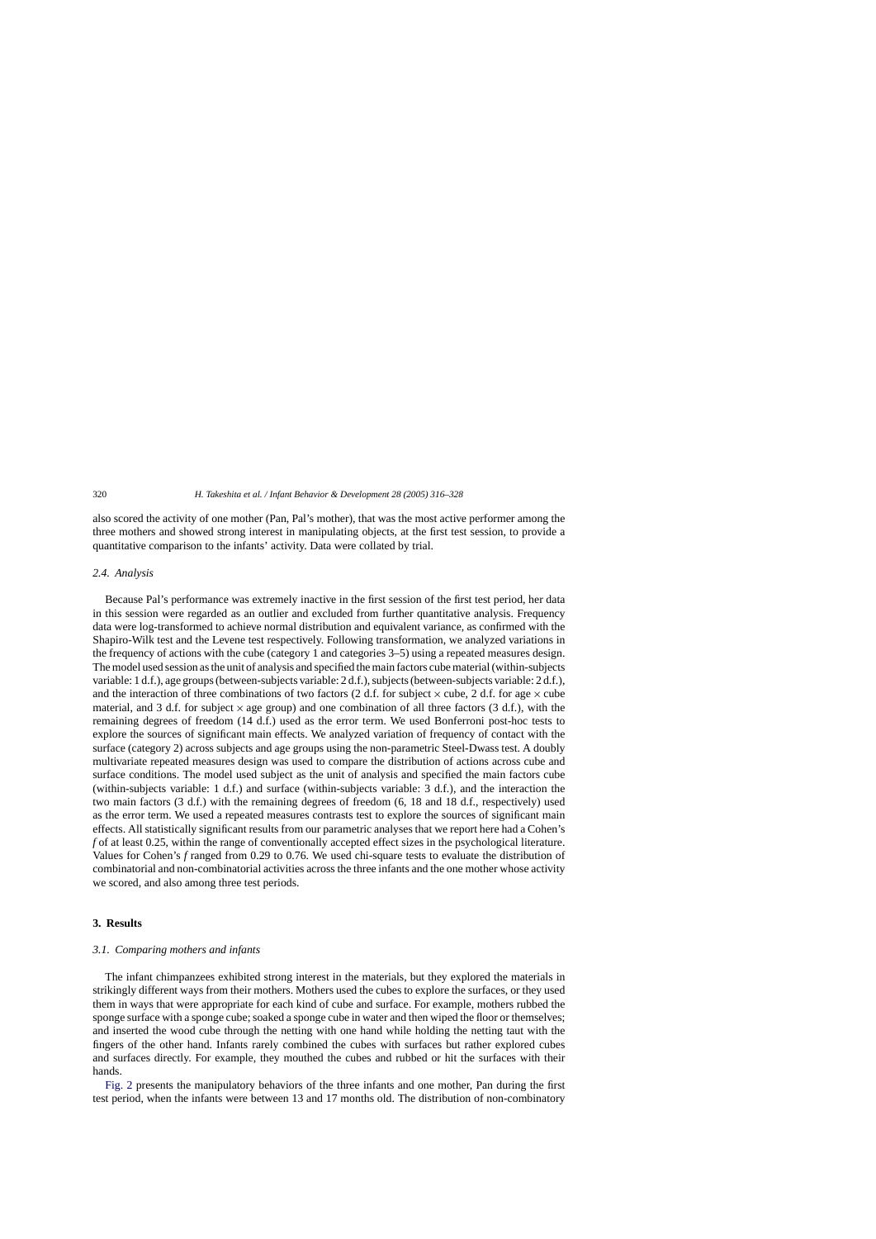also scored the activity of one mother (Pan, Pal's mother), that was the most active performer among the three mothers and showed strong interest in manipulating objects, at the first test session, to provide a quantitative comparison to the infants' activity. Data were collated by trial.

## *2.4. Analysis*

Because Pal's performance was extremely inactive in the first session of the first test period, her data in this session were regarded as an outlier and excluded from further quantitative analysis. Frequency data were log-transformed to achieve normal distribution and equivalent variance, as confirmed with the Shapiro-Wilk test and the Levene test respectively. Following transformation, we analyzed variations in the frequency of actions with the cube (category 1 and categories 3–5) using a repeated measures design. The model used session as the unit of analysis and specified the main factors cube material (within-subjects variable: 1 d.f.), age groups (between-subjects variable: 2 d.f.), subjects (between-subjects variable: 2 d.f.), and the interaction of three combinations of two factors (2 d.f. for subject  $\times$  cube, 2 d.f. for age  $\times$  cube material, and 3 d.f. for subject  $\times$  age group) and one combination of all three factors (3 d.f.), with the remaining degrees of freedom (14 d.f.) used as the error term. We used Bonferroni post-hoc tests to explore the sources of significant main effects. We analyzed variation of frequency of contact with the surface (category 2) across subjects and age groups using the non-parametric Steel-Dwass test. A doubly multivariate repeated measures design was used to compare the distribution of actions across cube and surface conditions. The model used subject as the unit of analysis and specified the main factors cube (within-subjects variable: 1 d.f.) and surface (within-subjects variable: 3 d.f.), and the interaction the two main factors (3 d.f.) with the remaining degrees of freedom (6, 18 and 18 d.f., respectively) used as the error term. We used a repeated measures contrasts test to explore the sources of significant main effects. All statistically significant results from our parametric analyses that we report here had a Cohen's *f* of at least 0.25, within the range of conventionally accepted effect sizes in the psychological literature. Values for Cohen's *f* ranged from 0.29 to 0.76. We used chi-square tests to evaluate the distribution of combinatorial and non-combinatorial activities across the three infants and the one mother whose activity we scored, and also among three test periods.

# **3. Results**

## *3.1. Comparing mothers and infants*

The infant chimpanzees exhibited strong interest in the materials, but they explored the materials in strikingly different ways from their mothers. Mothers used the cubes to explore the surfaces, or they used them in ways that were appropriate for each kind of cube and surface. For example, mothers rubbed the sponge surface with a sponge cube; soaked a sponge cube in water and then wiped the floor or themselves; and inserted the wood cube through the netting with one hand while holding the netting taut with the fingers of the other hand. Infants rarely combined the cubes with surfaces but rather explored cubes and surfaces directly. For example, they mouthed the cubes and rubbed or hit the surfaces with their hands.

[Fig. 2](#page-5-0) presents the manipulatory behaviors of the three infants and one mother, Pan during the first test period, when the infants were between 13 and 17 months old. The distribution of non-combinatory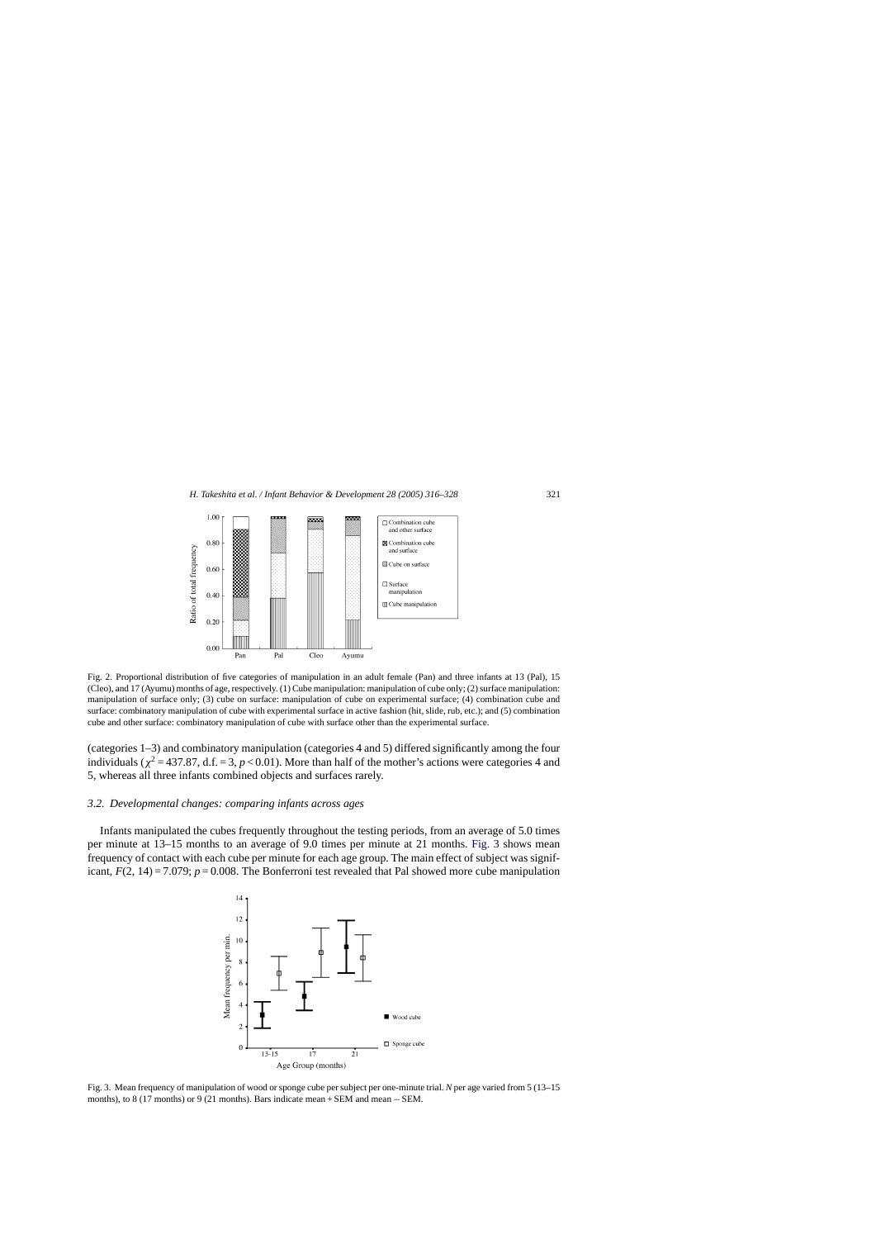<span id="page-5-0"></span>

Fig. 2. Proportional distribution of five categories of manipulation in an adult female (Pan) and three infants at 13 (Pal), 15 (Cleo), and 17 (Ayumu) months of age, respectively. (1) Cube manipulation: manipulation of cube only; (2) surface manipulation: manipulation of surface only; (3) cube on surface: manipulation of cube on experimental surface; (4) combination cube and surface: combinatory manipulation of cube with experimental surface in active fashion (hit, slide, rub, etc.); and (5) combination cube and other surface: combinatory manipulation of cube with surface other than the experimental surface.

(categories 1–3) and combinatory manipulation (categories 4 and 5) differed significantly among the four individuals ( $\chi^2$  = 437.87, d.f. = 3, *p* < 0.01). More than half of the mother's actions were categories 4 and 5, whereas all three infants combined objects and surfaces rarely.

#### *3.2. Developmental changes: comparing infants across ages*

Infants manipulated the cubes frequently throughout the testing periods, from an average of 5.0 times per minute at 13–15 months to an average of 9.0 times per minute at 21 months. Fig. 3 shows mean frequency of contact with each cube per minute for each age group. The main effect of subject was significant,  $F(2, 14) = 7.079$ ;  $p = 0.008$ . The Bonferroni test revealed that Pal showed more cube manipulation



Fig. 3. Mean frequency of manipulation of wood or sponge cube per subject per one-minute trial. *N* per age varied from 5 (13–15 months), to 8 (17 months) or 9 (21 months). Bars indicate mean + SEM and mean − SEM.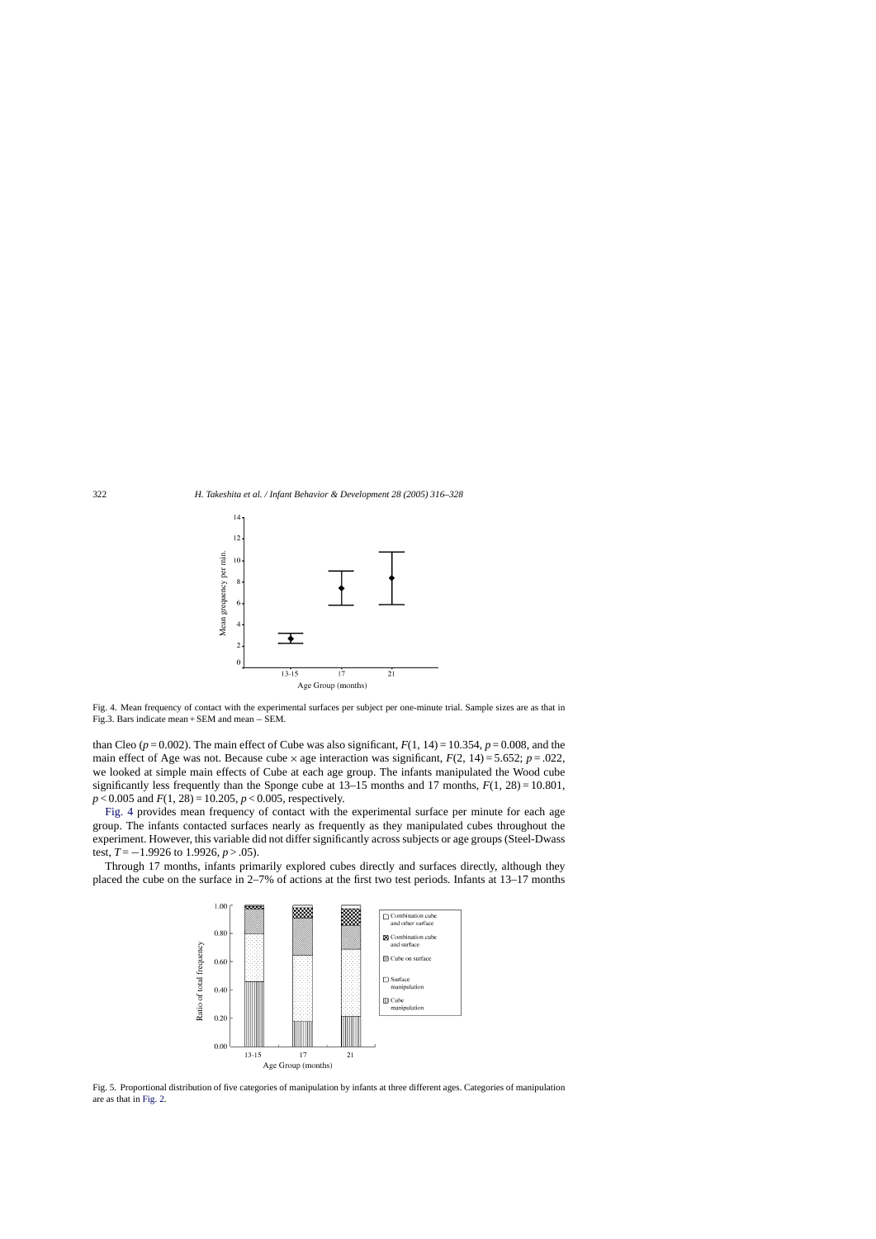<span id="page-6-0"></span>

Fig. 4. Mean frequency of contact with the experimental surfaces per subject per one-minute trial. Sample sizes are as that in Fig.3. Bars indicate mean + SEM and mean − SEM.

than Cleo  $(p=0.002)$ . The main effect of Cube was also significant,  $F(1, 14) = 10.354$ ,  $p = 0.008$ , and the main effect of Age was not. Because cube  $\times$  age interaction was significant,  $F(2, 14) = 5.652$ ;  $p = .022$ , we looked at simple main effects of Cube at each age group. The infants manipulated the Wood cube significantly less frequently than the Sponge cube at  $13-15$  months and 17 months,  $F(1, 28) = 10.801$ , *p* < 0.005 and *F*(1, 28) = 10.205, *p* < 0.005, respectively.

Fig. 4 provides mean frequency of contact with the experimental surface per minute for each age group. The infants contacted surfaces nearly as frequently as they manipulated cubes throughout the experiment. However, this variable did not differ significantly across subjects or age groups (Steel-Dwass test,  $T = -1.9926$  to 1.9926,  $p > .05$ ).

Through 17 months, infants primarily explored cubes directly and surfaces directly, although they placed the cube on the surface in 2–7% of actions at the first two test periods. Infants at 13–17 months



Fig. 5. Proportional distribution of five categories of manipulation by infants at three different ages. Categories of manipulation are as that in [Fig. 2.](#page-5-0)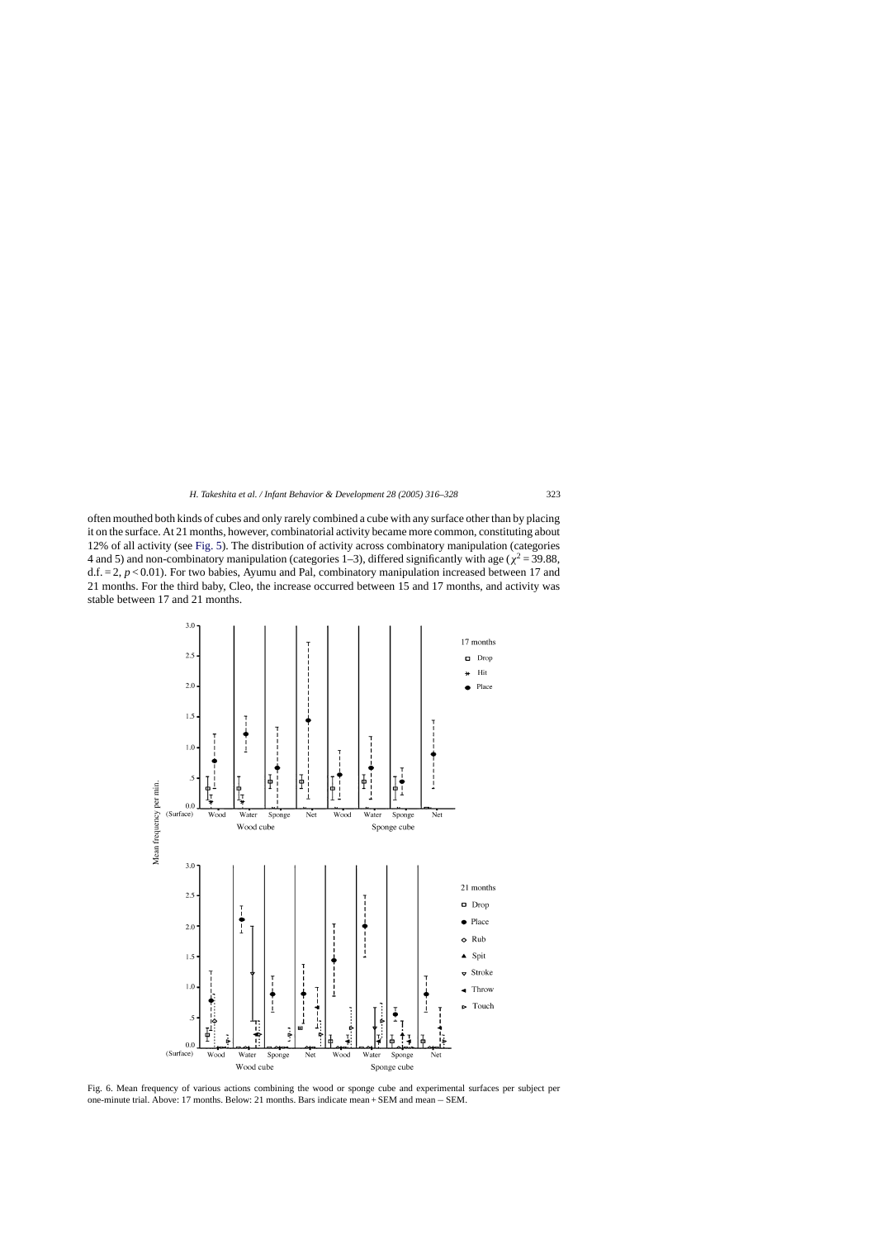<span id="page-7-0"></span>often mouthed both kinds of cubes and only rarely combined a cube with any surface other than by placing it on the surface. At 21 months, however, combinatorial activity became more common, constituting about 12% of all activity (see [Fig. 5\).](#page-6-0) The distribution of activity across combinatory manipulation (categories 4 and 5) and non-combinatory manipulation (categories 1–3), differed significantly with age ( $\chi^2$  = 39.88,  $d.f. = 2, p < 0.01$ ). For two babies, Ayumu and Pal, combinatory manipulation increased between 17 and 21 months. For the third baby, Cleo, the increase occurred between 15 and 17 months, and activity was stable between 17 and 21 months.



Fig. 6. Mean frequency of various actions combining the wood or sponge cube and experimental surfaces per subject per one-minute trial. Above: 17 months. Below: 21 months. Bars indicate mean + SEM and mean − SEM.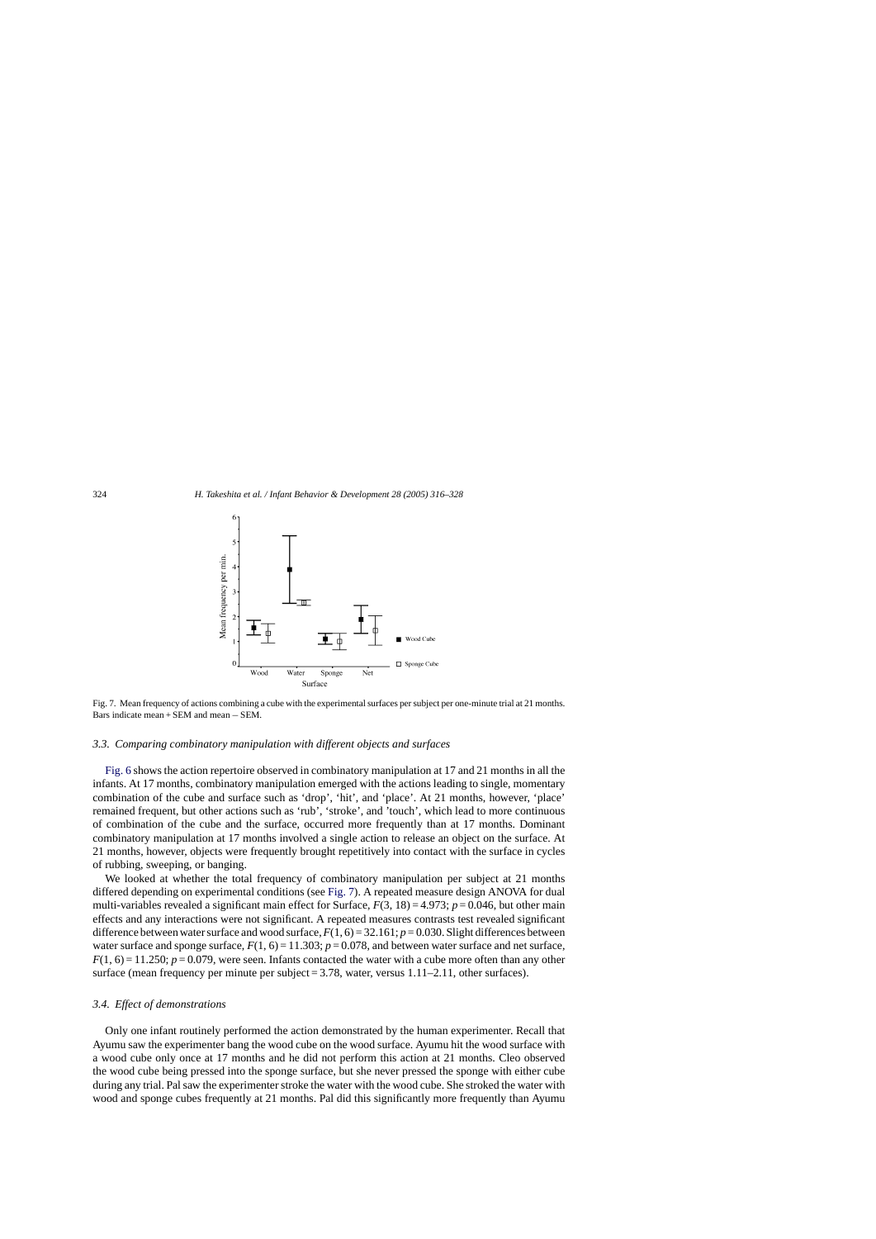

Fig. 7. Mean frequency of actions combining a cube with the experimental surfaces per subject per one-minute trial at 21 months. Bars indicate mean + SEM and mean − SEM.

# *3.3. Comparing combinatory manipulation with different objects and surfaces*

[Fig. 6](#page-7-0) shows the action repertoire observed in combinatory manipulation at 17 and 21 months in all the infants. At 17 months, combinatory manipulation emerged with the actions leading to single, momentary combination of the cube and surface such as 'drop', 'hit', and 'place'. At 21 months, however, 'place' remained frequent, but other actions such as 'rub', 'stroke', and 'touch', which lead to more continuous of combination of the cube and the surface, occurred more frequently than at 17 months. Dominant combinatory manipulation at 17 months involved a single action to release an object on the surface. At 21 months, however, objects were frequently brought repetitively into contact with the surface in cycles of rubbing, sweeping, or banging.

We looked at whether the total frequency of combinatory manipulation per subject at 21 months differed depending on experimental conditions (see Fig. 7). A repeated measure design ANOVA for dual multi-variables revealed a significant main effect for Surface,  $F(3, 18) = 4.973$ ;  $p = 0.046$ , but other main effects and any interactions were not significant. A repeated measures contrasts test revealed significant difference between water surface and wood surface,  $F(1, 6) = 32.161$ ;  $p = 0.030$ . Slight differences between water surface and sponge surface,  $F(1, 6) = 11.303$ ;  $p = 0.078$ , and between water surface and net surface,  $F(1, 6) = 11.250$ ;  $p = 0.079$ , were seen. Infants contacted the water with a cube more often than any other surface (mean frequency per minute per subject  $= 3.78$ , water, versus  $1.11 - 2.11$ , other surfaces).

#### *3.4. Effect of demonstrations*

Only one infant routinely performed the action demonstrated by the human experimenter. Recall that Ayumu saw the experimenter bang the wood cube on the wood surface. Ayumu hit the wood surface with a wood cube only once at 17 months and he did not perform this action at 21 months. Cleo observed the wood cube being pressed into the sponge surface, but she never pressed the sponge with either cube during any trial. Pal saw the experimenter stroke the water with the wood cube. She stroked the water with wood and sponge cubes frequently at 21 months. Pal did this significantly more frequently than Ayumu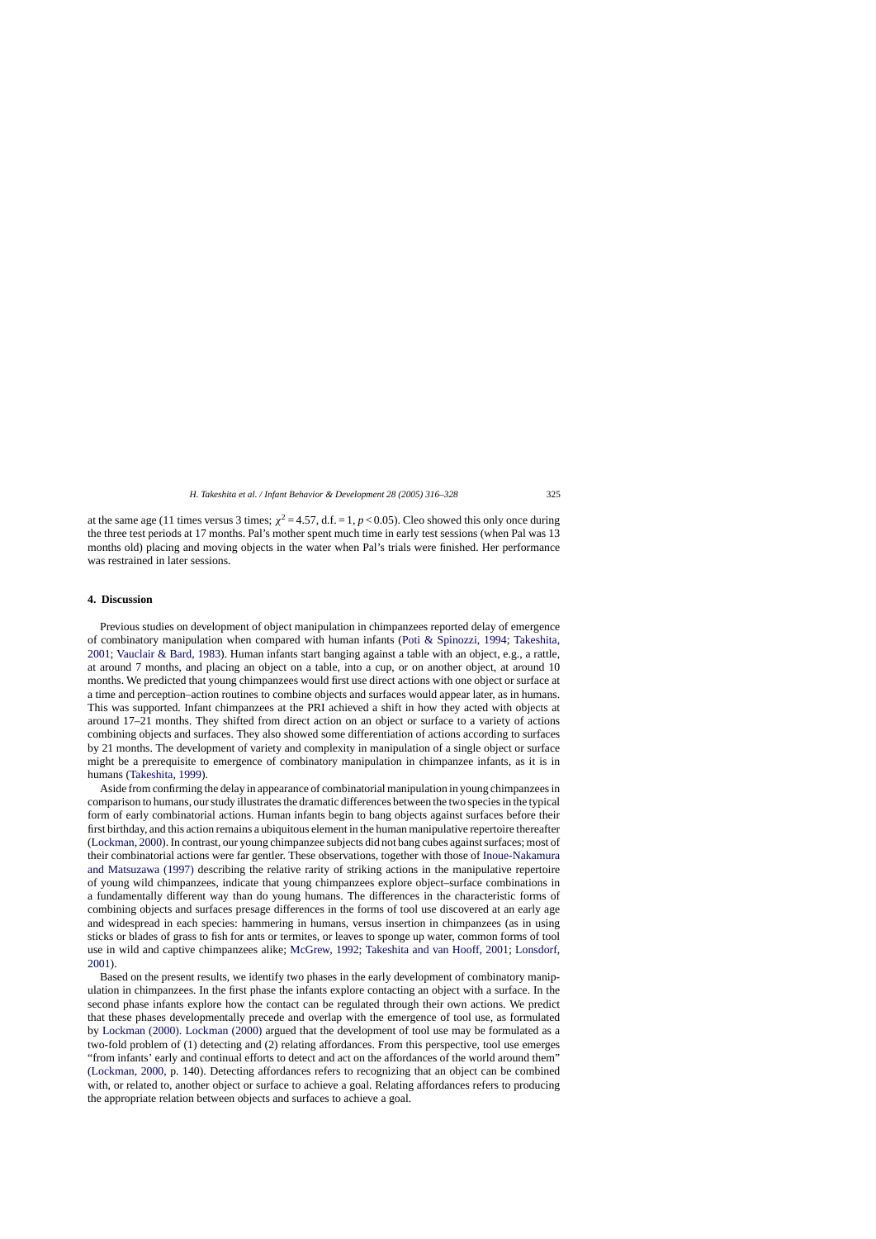at the same age (11 times versus 3 times;  $\chi^2 = 4.57$ , d.f. = 1, *p* < 0.05). Cleo showed this only once during the three test periods at 17 months. Pal's mother spent much time in early test sessions (when Pal was 13 months old) placing and moving objects in the water when Pal's trials were finished. Her performance was restrained in later sessions.

# **4. Discussion**

Previous studies on development of object manipulation in chimpanzees reported delay of emergence of combinatory manipulation when compared with human infants ([Poti & Spinozzi, 1994;](#page-11-0) [Takeshita,](#page-12-0) [2001;](#page-12-0) [Vauclair & Bard, 1983\).](#page-12-0) Human infants start banging against a table with an object, e.g., a rattle, at around 7 months, and placing an object on a table, into a cup, or on another object, at around 10 months. We predicted that young chimpanzees would first use direct actions with one object or surface at a time and perception–action routines to combine objects and surfaces would appear later, as in humans. This was supported. Infant chimpanzees at the PRI achieved a shift in how they acted with objects at around 17–21 months. They shifted from direct action on an object or surface to a variety of actions combining objects and surfaces. They also showed some differentiation of actions according to surfaces by 21 months. The development of variety and complexity in manipulation of a single object or surface might be a prerequisite to emergence of combinatory manipulation in chimpanzee infants, as it is in humans ([Takeshita, 1999\).](#page-12-0)

Aside from confirming the delay in appearance of combinatorial manipulation in young chimpanzees in comparison to humans, our study illustrates the dramatic differences between the two species in the typical form of early combinatorial actions. Human infants begin to bang objects against surfaces before their first birthday, and this action remains a ubiquitous element in the human manipulative repertoire thereafter ([Lockman, 2000\).](#page-11-0) In contrast, our young chimpanzee subjects did not bang cubes against surfaces; most of their combinatorial actions were far gentler. These observations, together with those of [Inoue-Nakamura](#page-11-0) [and Matsuzawa \(1997\)](#page-11-0) describing the relative rarity of striking actions in the manipulative repertoire of young wild chimpanzees, indicate that young chimpanzees explore object–surface combinations in a fundamentally different way than do young humans. The differences in the characteristic forms of combining objects and surfaces presage differences in the forms of tool use discovered at an early age and widespread in each species: hammering in humans, versus insertion in chimpanzees (as in using sticks or blades of grass to fish for ants or termites, or leaves to sponge up water, common forms of tool use in wild and captive chimpanzees alike; [McGrew, 1992; Takeshita and van Hooff, 2001;](#page-11-0) [Lonsdorf,](#page-11-0) [2001\).](#page-11-0)

Based on the present results, we identify two phases in the early development of combinatory manipulation in chimpanzees. In the first phase the infants explore contacting an object with a surface. In the second phase infants explore how the contact can be regulated through their own actions. We predict that these phases developmentally precede and overlap with the emergence of tool use, as formulated by [Lockman \(2000\).](#page-11-0) [Lockman \(2000\)](#page-11-0) argued that the development of tool use may be formulated as a two-fold problem of (1) detecting and (2) relating affordances. From this perspective, tool use emerges "from infants' early and continual efforts to detect and act on the affordances of the world around them" ([Lockman, 2000,](#page-11-0) p. 140). Detecting affordances refers to recognizing that an object can be combined with, or related to, another object or surface to achieve a goal. Relating affordances refers to producing the appropriate relation between objects and surfaces to achieve a goal.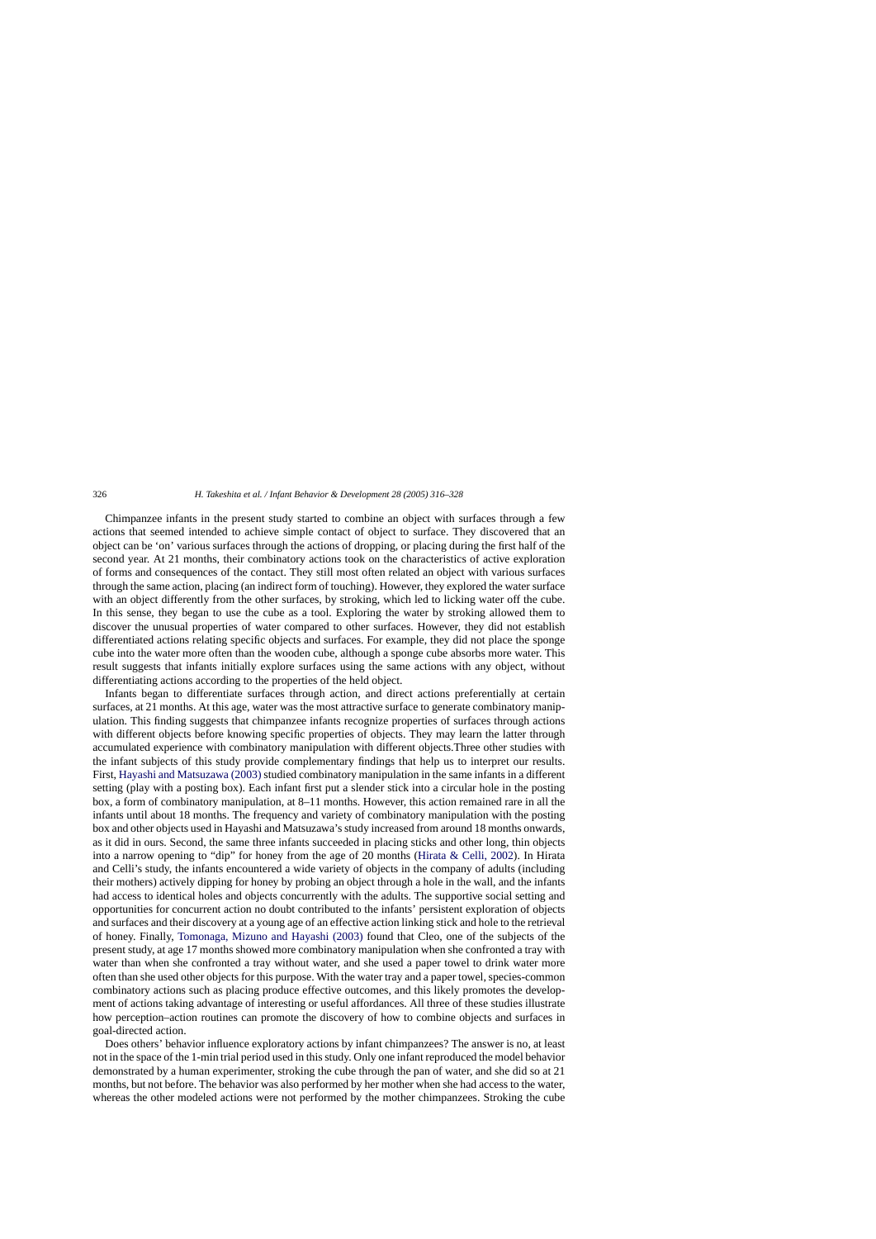Chimpanzee infants in the present study started to combine an object with surfaces through a few actions that seemed intended to achieve simple contact of object to surface. They discovered that an object can be 'on' various surfaces through the actions of dropping, or placing during the first half of the second year. At 21 months, their combinatory actions took on the characteristics of active exploration of forms and consequences of the contact. They still most often related an object with various surfaces through the same action, placing (an indirect form of touching). However, they explored the water surface with an object differently from the other surfaces, by stroking, which led to licking water off the cube. In this sense, they began to use the cube as a tool. Exploring the water by stroking allowed them to discover the unusual properties of water compared to other surfaces. However, they did not establish differentiated actions relating specific objects and surfaces. For example, they did not place the sponge cube into the water more often than the wooden cube, although a sponge cube absorbs more water. This result suggests that infants initially explore surfaces using the same actions with any object, without differentiating actions according to the properties of the held object.

Infants began to differentiate surfaces through action, and direct actions preferentially at certain surfaces, at 21 months. At this age, water was the most attractive surface to generate combinatory manipulation. This finding suggests that chimpanzee infants recognize properties of surfaces through actions with different objects before knowing specific properties of objects. They may learn the latter through accumulated experience with combinatory manipulation with different objects.Three other studies with the infant subjects of this study provide complementary findings that help us to interpret our results. First, [Hayashi and Matsuzawa \(2003\)](#page-11-0) studied combinatory manipulation in the same infants in a different setting (play with a posting box). Each infant first put a slender stick into a circular hole in the posting box, a form of combinatory manipulation, at 8–11 months. However, this action remained rare in all the infants until about 18 months. The frequency and variety of combinatory manipulation with the posting box and other objects used in Hayashi and Matsuzawa's study increased from around 18 months onwards, as it did in ours. Second, the same three infants succeeded in placing sticks and other long, thin objects into a narrow opening to "dip" for honey from the age of 20 months ([Hirata & Celli, 2002\)](#page-11-0). In Hirata and Celli's study, the infants encountered a wide variety of objects in the company of adults (including their mothers) actively dipping for honey by probing an object through a hole in the wall, and the infants had access to identical holes and objects concurrently with the adults. The supportive social setting and opportunities for concurrent action no doubt contributed to the infants' persistent exploration of objects and surfaces and their discovery at a young age of an effective action linking stick and hole to the retrieval of honey. Finally, [Tomonaga, Mizuno and Hayashi \(2003\)](#page-12-0) found that Cleo, one of the subjects of the present study, at age 17 months showed more combinatory manipulation when she confronted a tray with water than when she confronted a tray without water, and she used a paper towel to drink water more often than she used other objects for this purpose. With the water tray and a paper towel, species-common combinatory actions such as placing produce effective outcomes, and this likely promotes the development of actions taking advantage of interesting or useful affordances. All three of these studies illustrate how perception–action routines can promote the discovery of how to combine objects and surfaces in goal-directed action.

Does others' behavior influence exploratory actions by infant chimpanzees? The answer is no, at least not in the space of the 1-min trial period used in this study. Only one infant reproduced the model behavior demonstrated by a human experimenter, stroking the cube through the pan of water, and she did so at 21 months, but not before. The behavior was also performed by her mother when she had access to the water, whereas the other modeled actions were not performed by the mother chimpanzees. Stroking the cube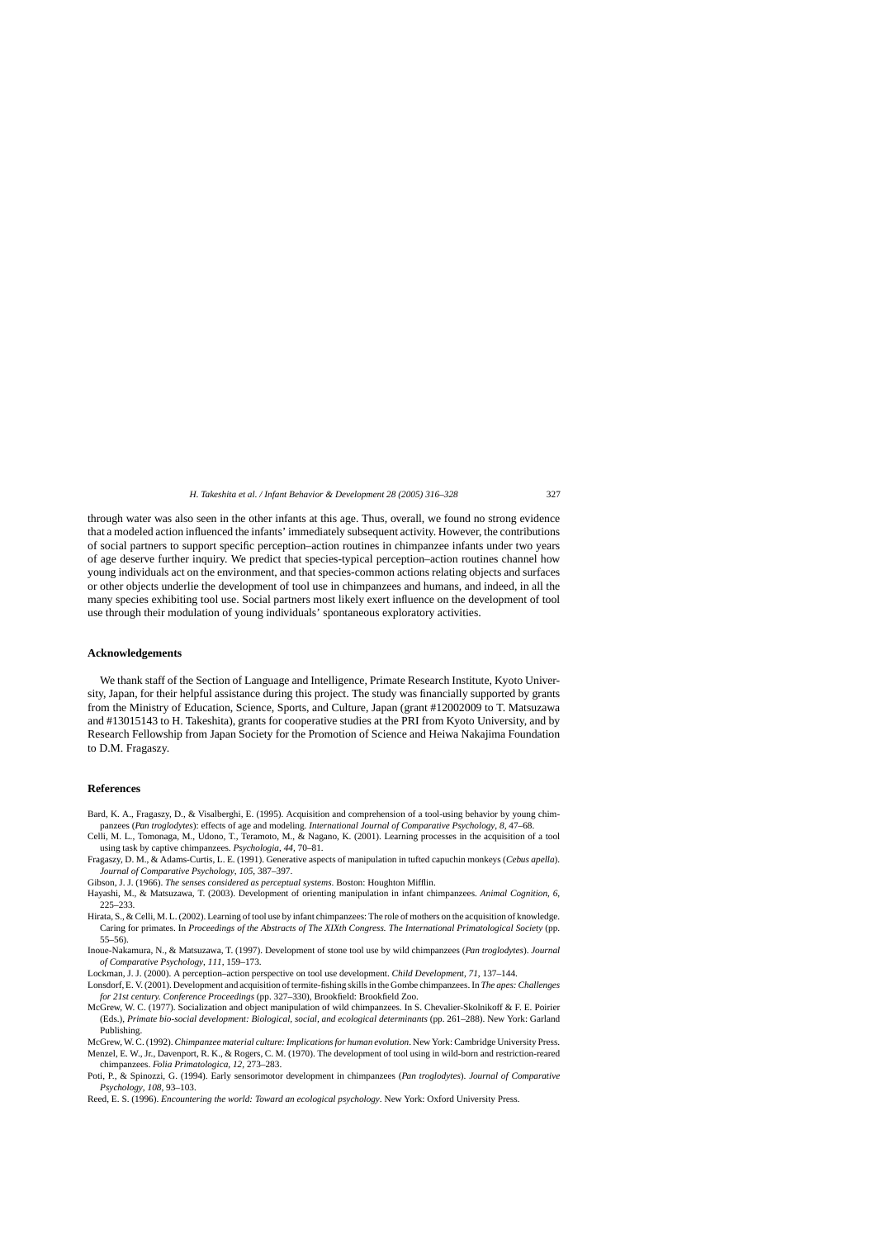<span id="page-11-0"></span>through water was also seen in the other infants at this age. Thus, overall, we found no strong evidence that a modeled action influenced the infants' immediately subsequent activity. However, the contributions of social partners to support specific perception–action routines in chimpanzee infants under two years of age deserve further inquiry. We predict that species-typical perception–action routines channel how young individuals act on the environment, and that species-common actions relating objects and surfaces or other objects underlie the development of tool use in chimpanzees and humans, and indeed, in all the many species exhibiting tool use. Social partners most likely exert influence on the development of tool use through their modulation of young individuals' spontaneous exploratory activities.

#### **Acknowledgements**

We thank staff of the Section of Language and Intelligence, Primate Research Institute, Kyoto University, Japan, for their helpful assistance during this project. The study was financially supported by grants from the Ministry of Education, Science, Sports, and Culture, Japan (grant #12002009 to T. Matsuzawa and #13015143 to H. Takeshita), grants for cooperative studies at the PRI from Kyoto University, and by Research Fellowship from Japan Society for the Promotion of Science and Heiwa Nakajima Foundation to D.M. Fragaszy.

### **References**

- Bard, K. A., Fragaszy, D., & Visalberghi, E. (1995). Acquisition and comprehension of a tool-using behavior by young chimpanzees (*Pan troglodytes*): effects of age and modeling. *International Journal of Comparative Psychology*, *8*, 47–68.
- Celli, M. L., Tomonaga, M., Udono, T., Teramoto, M., & Nagano, K. (2001). Learning processes in the acquisition of a tool using task by captive chimpanzees. *Psychologia*, *44*, 70–81.
- Fragaszy, D. M., & Adams-Curtis, L. E. (1991). Generative aspects of manipulation in tufted capuchin monkeys (*Cebus apella*). *Journal of Comparative Psychology*, *105*, 387–397.
- Gibson, J. J. (1966). *The senses considered as perceptual systems*. Boston: Houghton Mifflin.
- Hayashi, M., & Matsuzawa, T. (2003). Development of orienting manipulation in infant chimpanzees. *Animal Cognition*, *6*, 225–233.
- Hirata, S., & Celli, M. L. (2002). Learning of tool use by infant chimpanzees: The role of mothers on the acquisition of knowledge. Caring for primates. In *Proceedings of the Abstracts of The XIXth Congress. The International Primatological Society* (pp. 55–56).
- Inoue-Nakamura, N., & Matsuzawa, T. (1997). Development of stone tool use by wild chimpanzees (*Pan troglodytes*). *Journal of Comparative Psychology*, *111*, 159–173.
- Lockman, J. J. (2000). A perception–action perspective on tool use development. *Child Development*, *71*, 137–144.
- Lonsdorf, E. V. (2001). Development and acquisition of termite-fishing skills in the Gombe chimpanzees. In *The apes: Challenges for 21st century. Conference Proceedings* (pp. 327–330), Brookfield: Brookfield Zoo.
- McGrew, W. C. (1977). Socialization and object manipulation of wild chimpanzees. In S. Chevalier-Skolnikoff & F. E. Poirier (Eds.), *Primate bio-social development: Biological, social, and ecological determinants* (pp. 261–288). New York: Garland Publishing.
- McGrew, W. C. (1992). *Chimpanzee material culture: Implications for human evolution*. New York: Cambridge University Press.
- Menzel, E. W., Jr., Davenport, R. K., & Rogers, C. M. (1970). The development of tool using in wild-born and restriction-reared chimpanzees. *Folia Primatologica*, *12*, 273–283.
- Poti, P., & Spinozzi, G. (1994). Early sensorimotor development in chimpanzees (*Pan troglodytes*). *Journal of Comparative Psychology*, *108*, 93–103.
- Reed, E. S. (1996). *Encountering the world: Toward an ecological psychology*. New York: Oxford University Press.